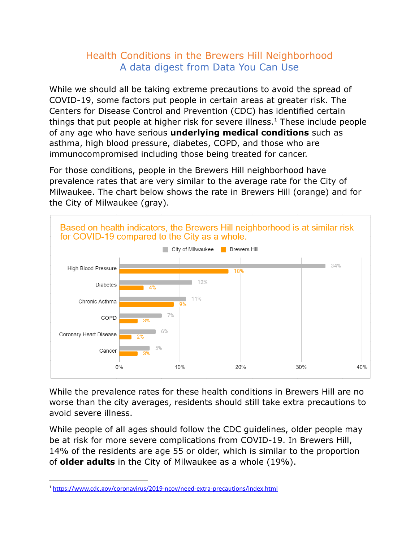## Health Conditions in the Brewers Hill Neighborhood A data digest from Data You Can Use

While we should all be taking extreme precautions to avoid the spread of COVID-19, some factors put people in certain areas at greater risk. The Centers for Disease Control and Prevention (CDC) has identified certain things that put people at higher risk for severe illness.<sup>1</sup> These include people of any age who have serious **underlying medical conditions** such as asthma, high blood pressure, diabetes, COPD, and those who are immunocompromised including those being treated for cancer.

For those conditions, people in the Brewers Hill neighborhood have prevalence rates that are very similar to the average rate for the City of Milwaukee. The chart below shows the rate in Brewers Hill (orange) and for the City of Milwaukee (gray).



While the prevalence rates for these health conditions in Brewers Hill are no worse than the city averages, residents should still take extra precautions to avoid severe illness.

While people of all ages should follow the CDC guidelines, older people may be at risk for more severe complications from COVID-19. In Brewers Hill, 14% of the residents are age 55 or older, which is similar to the proportion of **older adults** in the City of Milwaukee as a whole (19%).

<sup>1</sup> <https://www.cdc.gov/coronavirus/2019-ncov/need-extra-precautions/index.html>